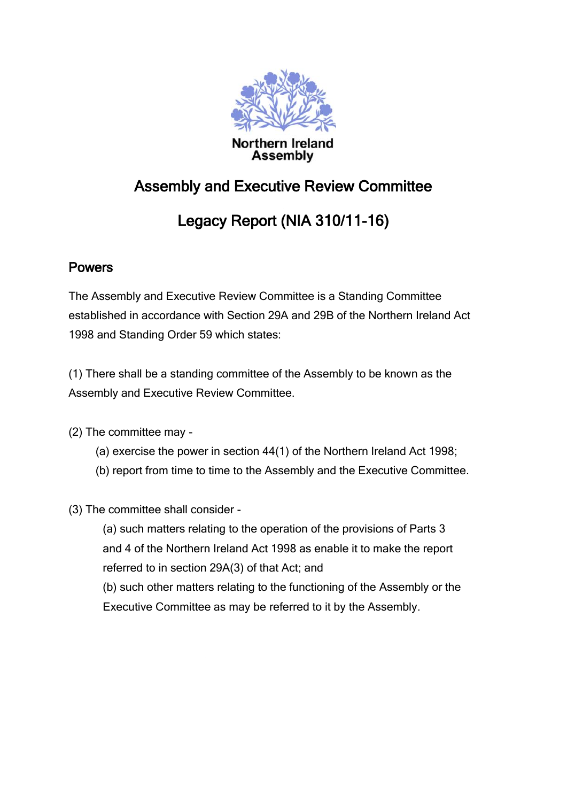

# Assembly and Executive Review Committee

# Legacy Report (NIA 310/11-16)

# **Powers**

The Assembly and Executive Review Committee is a Standing Committee established in accordance with Section 29A and 29B of the Northern Ireland Act 1998 and Standing Order 59 which states:

(1) There shall be a standing committee of the Assembly to be known as the Assembly and Executive Review Committee.

(2) The committee may -

- (a) exercise the power in section 44(1) of the Northern Ireland Act 1998;
- (b) report from time to time to the Assembly and the Executive Committee.

(3) The committee shall consider -

(a) such matters relating to the operation of the provisions of Parts 3 and 4 of the Northern Ireland Act 1998 as enable it to make the report referred to in section 29A(3) of that Act; and

(b) such other matters relating to the functioning of the Assembly or the Executive Committee as may be referred to it by the Assembly.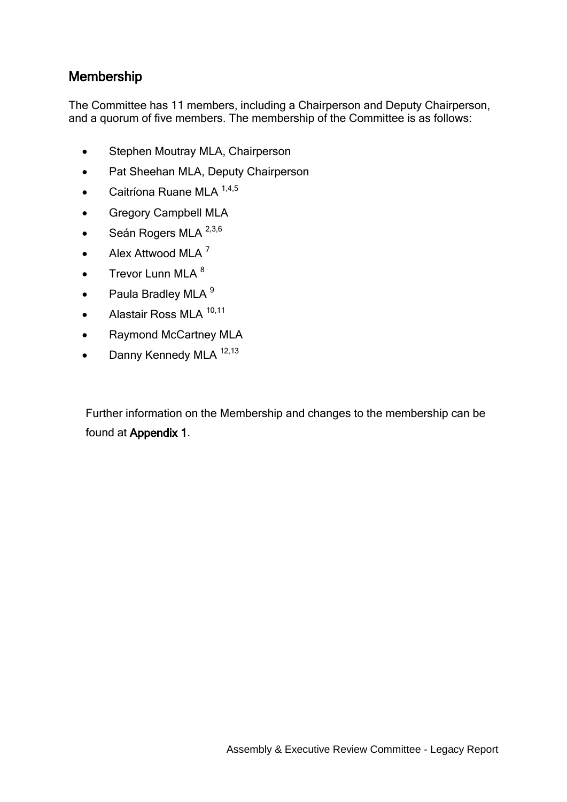## Membership

The Committee has 11 members, including a Chairperson and Deputy Chairperson, and a quorum of five members. The membership of the Committee is as follows:

- Stephen Moutray MLA, Chairperson
- Pat Sheehan MLA, Deputy Chairperson
- $\bullet$  Caitríona Ruane MLA  $^{1,4,5}$
- Gregory Campbell MLA
- $\bullet$  Seán Rogers MLA  $^{2,3,6}$
- Alex Attwood MLA  $^7$
- $\bullet$  Trevor Lunn MLA  $^8$
- $\bullet$  Paula Bradley MLA  $9$
- $\bullet$  Alastair Ross MLA  $^{10,11}$
- Raymond McCartney MLA
- $\bullet$  Danny Kennedy MLA  $^{12,13}$

Further information on the Membership and changes to the membership can be found at Appendix 1.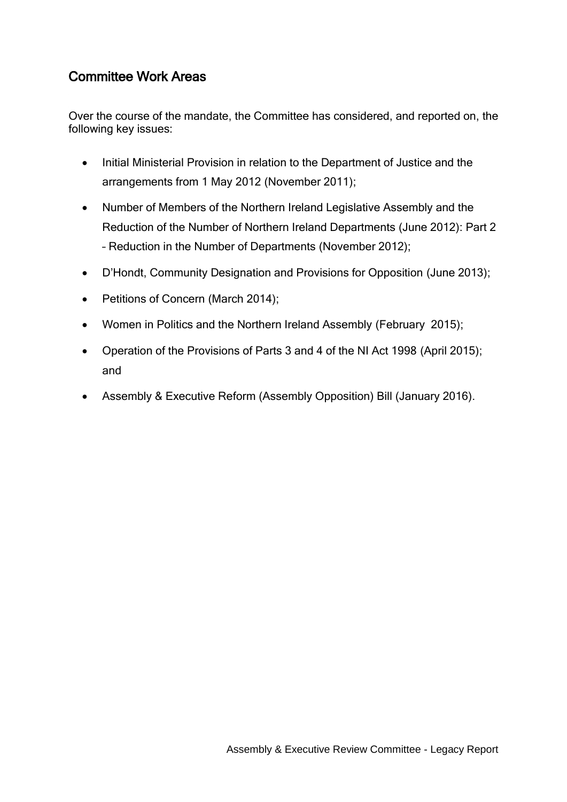## Committee Work Areas

Over the course of the mandate, the Committee has considered, and reported on, the following key issues:

- Initial Ministerial Provision in relation to the Department of Justice and the arrangements from 1 May 2012 (November 2011);
- Number of Members of the Northern Ireland Legislative Assembly and the Reduction of the Number of Northern Ireland Departments (June 2012): Part 2 – Reduction in the Number of Departments (November 2012);
- D'Hondt, Community Designation and Provisions for Opposition (June 2013);
- Petitions of Concern (March 2014);
- Women in Politics and the Northern Ireland Assembly (February 2015);
- Operation of the Provisions of Parts 3 and 4 of the NI Act 1998 (April 2015); and
- Assembly & Executive Reform (Assembly Opposition) Bill (January 2016).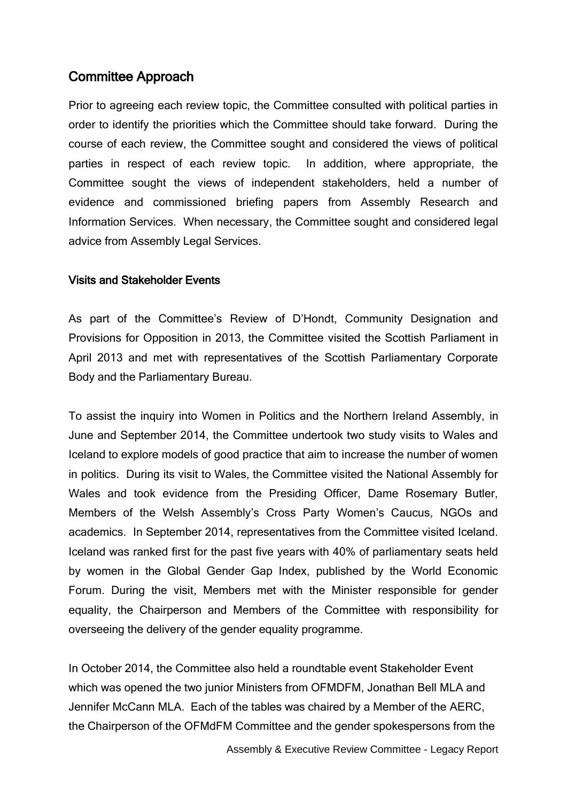## Committee Approach

Prior to agreeing each review topic, the Committee consulted with political parties in order to identify the priorities which the Committee should take forward. During the course of each review, the Committee sought and considered the views of political parties in respect of each review topic. In addition, where appropriate, the Committee sought the views of independent stakeholders, held a number of evidence and commissioned briefing papers from Assembly Research and Information Services. When necessary, the Committee sought and considered legal advice from Assembly Legal Services.

#### Visits and Stakeholder Events

As part of the Committee's Review of D'Hondt, Community Designation and Provisions for Opposition in 2013, the Committee visited the Scottish Parliament in April 2013 and met with representatives of the Scottish Parliamentary Corporate Body and the Parliamentary Bureau.

To assist the inquiry into Women in Politics and the Northern Ireland Assembly, in June and September 2014, the Committee undertook two study visits to Wales and Iceland to explore models of good practice that aim to increase the number of women in politics. During its visit to Wales, the Committee visited the National Assembly for Wales and took evidence from the Presiding Officer, Dame Rosemary Butler, Members of the Welsh Assembly's Cross Party Women's Caucus, NGOs and academics. In September 2014, representatives from the Committee visited Iceland. Iceland was ranked first for the past five years with 40% of parliamentary seats held by women in the Global Gender Gap Index, published by the World Economic Forum. During the visit, Members met with the Minister responsible for gender equality, the Chairperson and Members of the Committee with responsibility for overseeing the delivery of the gender equality programme.

In October 2014, the Committee also held a roundtable event Stakeholder Event which was opened the two junior Ministers from OFMDFM, Jonathan Bell MLA and Jennifer McCann MLA. Each of the tables was chaired by a Member of the AERC, the Chairperson of the OFMdFM Committee and the gender spokespersons from the

Assembly & Executive Review Committee - Legacy Report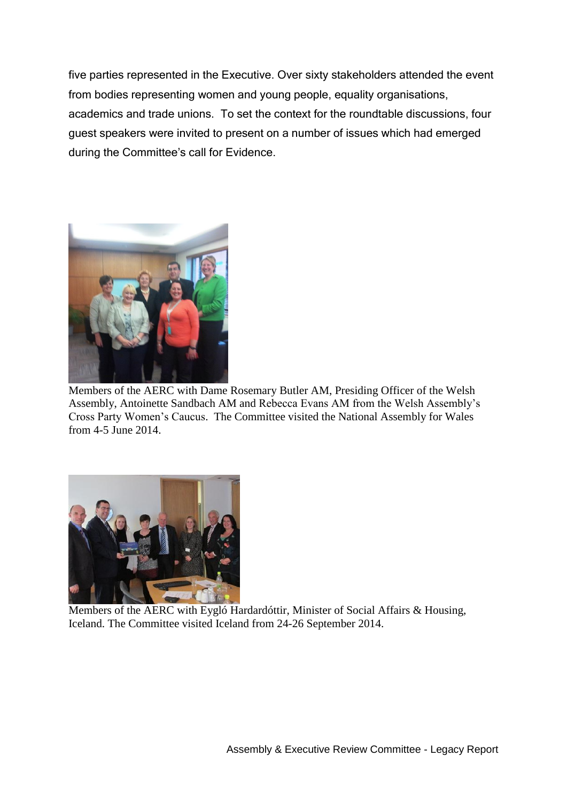five parties represented in the Executive. Over sixty stakeholders attended the event from bodies representing women and young people, equality organisations, academics and trade unions. To set the context for the roundtable discussions, four guest speakers were invited to present on a number of issues which had emerged during the Committee's call for Evidence.



Members of the AERC with Dame Rosemary Butler AM, Presiding Officer of the Welsh Assembly, Antoinette Sandbach AM and Rebecca Evans AM from the Welsh Assembly's Cross Party Women's Caucus. The Committee visited the National Assembly for Wales from 4-5 June 2014.



Members of the AERC with Eygló Hardardóttir, Minister of Social Affairs & Housing, Iceland. The Committee visited Iceland from 24-26 September 2014.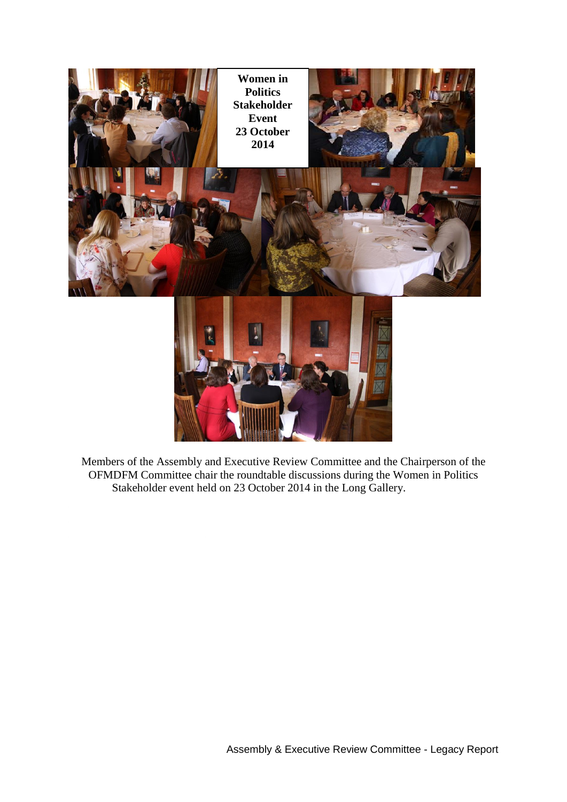

Members of the Assembly and Executive Review Committee and the Chairperson of the OFMDFM Committee chair the roundtable discussions during the Women in Politics Stakeholder event held on 23 October 2014 in the Long Gallery.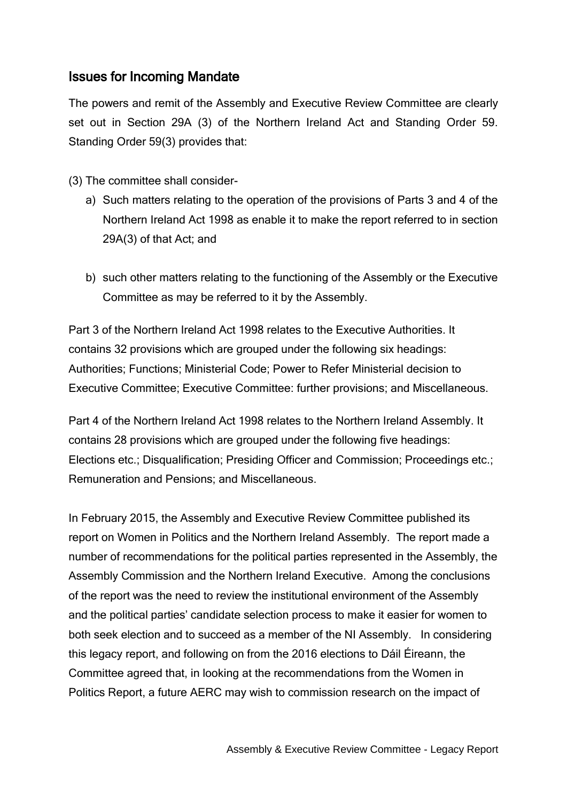### Issues for Incoming Mandate

The powers and remit of the Assembly and Executive Review Committee are clearly set out in Section 29A (3) of the Northern Ireland Act and Standing Order 59. Standing Order 59(3) provides that:

- (3) The committee shall consider
	- a) Such matters relating to the operation of the provisions of Parts 3 and 4 of the Northern Ireland Act 1998 as enable it to make the report referred to in section 29A(3) of that Act; and
	- b) such other matters relating to the functioning of the Assembly or the Executive Committee as may be referred to it by the Assembly.

Part 3 of the Northern Ireland Act 1998 relates to the Executive Authorities. It contains 32 provisions which are grouped under the following six headings: Authorities; Functions; Ministerial Code; Power to Refer Ministerial decision to Executive Committee; Executive Committee: further provisions; and Miscellaneous.

Part 4 of the Northern Ireland Act 1998 relates to the Northern Ireland Assembly. It contains 28 provisions which are grouped under the following five headings: Elections etc.; Disqualification; Presiding Officer and Commission; Proceedings etc.; Remuneration and Pensions; and Miscellaneous.

In February 2015, the Assembly and Executive Review Committee published its report on Women in Politics and the Northern Ireland Assembly. The report made a number of recommendations for the political parties represented in the Assembly, the Assembly Commission and the Northern Ireland Executive. Among the conclusions of the report was the need to review the institutional environment of the Assembly and the political parties' candidate selection process to make it easier for women to both seek election and to succeed as a member of the NI Assembly. In considering this legacy report, and following on from the 2016 elections to Dáil Éireann, the Committee agreed that, in looking at the recommendations from the Women in Politics Report, a future AERC may wish to commission research on the impact of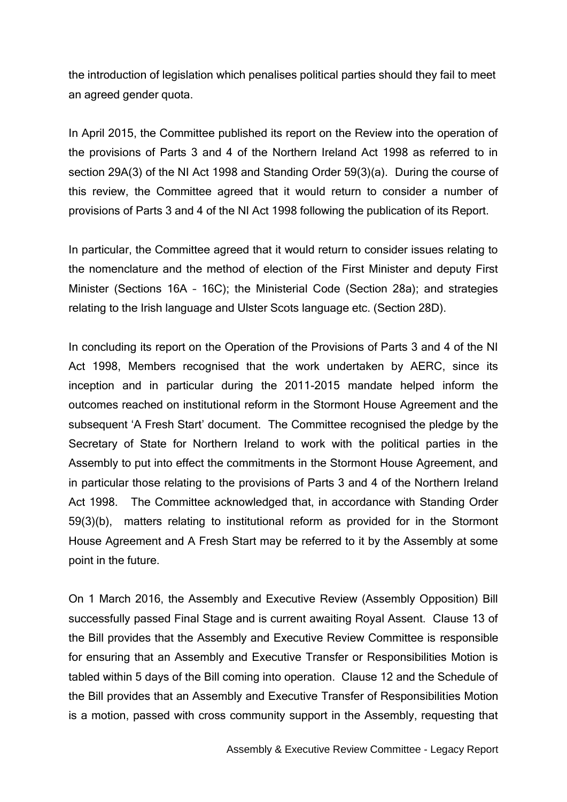the introduction of legislation which penalises political parties should they fail to meet an agreed gender quota.

In April 2015, the Committee published its report on the Review into the operation of the provisions of Parts 3 and 4 of the Northern Ireland Act 1998 as referred to in section 29A(3) of the NI Act 1998 and Standing Order 59(3)(a). During the course of this review, the Committee agreed that it would return to consider a number of provisions of Parts 3 and 4 of the NI Act 1998 following the publication of its Report.

In particular, the Committee agreed that it would return to consider issues relating to the nomenclature and the method of election of the First Minister and deputy First Minister (Sections 16A – 16C); the Ministerial Code (Section 28a); and strategies relating to the Irish language and Ulster Scots language etc. (Section 28D).

In concluding its report on the Operation of the Provisions of Parts 3 and 4 of the NI Act 1998, Members recognised that the work undertaken by AERC, since its inception and in particular during the 2011-2015 mandate helped inform the outcomes reached on institutional reform in the Stormont House Agreement and the subsequent 'A Fresh Start' document. The Committee recognised the pledge by the Secretary of State for Northern Ireland to work with the political parties in the Assembly to put into effect the commitments in the Stormont House Agreement, and in particular those relating to the provisions of Parts 3 and 4 of the Northern Ireland Act 1998. The Committee acknowledged that, in accordance with Standing Order 59(3)(b), matters relating to institutional reform as provided for in the Stormont House Agreement and A Fresh Start may be referred to it by the Assembly at some point in the future.

On 1 March 2016, the Assembly and Executive Review (Assembly Opposition) Bill successfully passed Final Stage and is current awaiting Royal Assent. Clause 13 of the Bill provides that the Assembly and Executive Review Committee is responsible for ensuring that an Assembly and Executive Transfer or Responsibilities Motion is tabled within 5 days of the Bill coming into operation. Clause 12 and the Schedule of the Bill provides that an Assembly and Executive Transfer of Responsibilities Motion is a motion, passed with cross community support in the Assembly, requesting that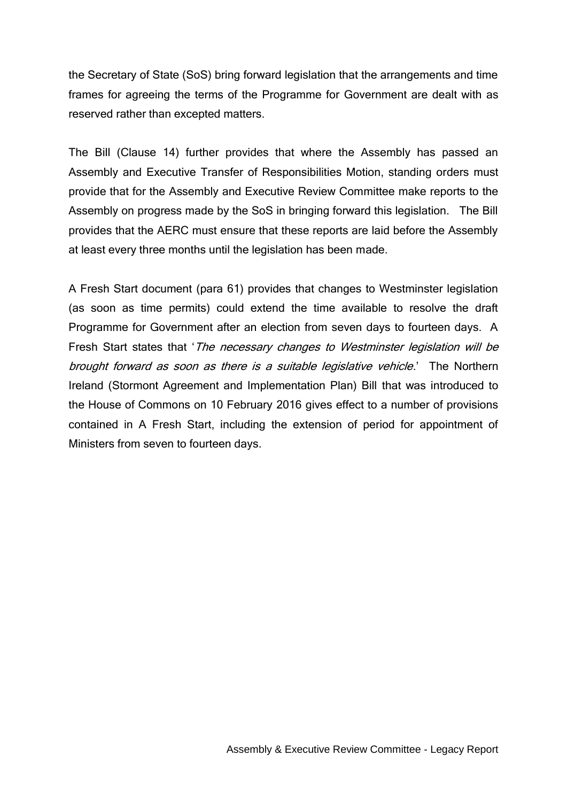the Secretary of State (SoS) bring forward legislation that the arrangements and time frames for agreeing the terms of the Programme for Government are dealt with as reserved rather than excepted matters.

The Bill (Clause 14) further provides that where the Assembly has passed an Assembly and Executive Transfer of Responsibilities Motion, standing orders must provide that for the Assembly and Executive Review Committee make reports to the Assembly on progress made by the SoS in bringing forward this legislation. The Bill provides that the AERC must ensure that these reports are laid before the Assembly at least every three months until the legislation has been made.

A Fresh Start document (para 61) provides that changes to Westminster legislation (as soon as time permits) could extend the time available to resolve the draft Programme for Government after an election from seven days to fourteen days. A Fresh Start states that '*The necessary changes to Westminster legislation will be* brought forward as soon as there is a suitable legislative vehicle.' The Northern Ireland (Stormont Agreement and Implementation Plan) Bill that was introduced to the House of Commons on 10 February 2016 gives effect to a number of provisions contained in A Fresh Start, including the extension of period for appointment of Ministers from seven to fourteen days.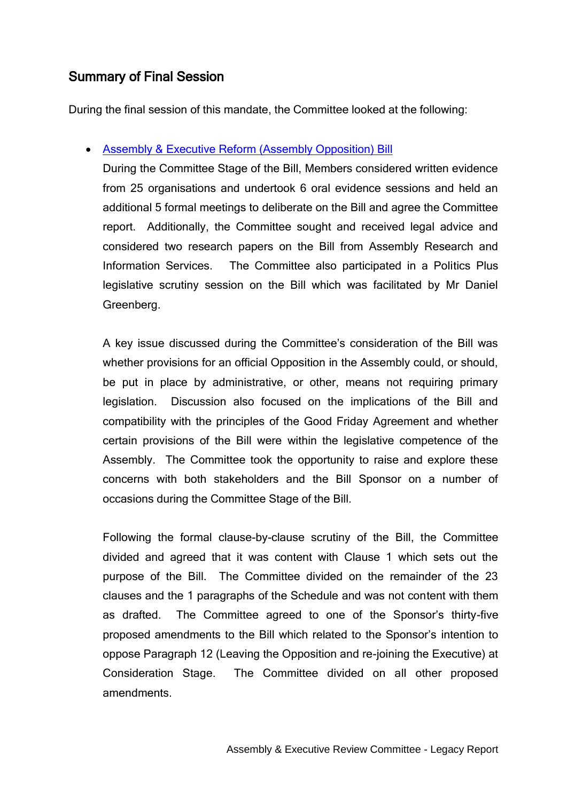## Summary of Final Session

During the final session of this mandate, the Committee looked at the following:

#### [Assembly & Executive Reform \(Assembly Opposition\) Bill](http://www.niassembly.gov.uk/assembly-business/committees/assembly-and-executive-review/legislation---committee-stage-of-bills/assembly-and-executive-reform-assembly-opposition-bill---committee-stage/)

During the Committee Stage of the Bill, Members considered written evidence from 25 organisations and undertook 6 oral evidence sessions and held an additional 5 formal meetings to deliberate on the Bill and agree the Committee report. Additionally, the Committee sought and received legal advice and considered two research papers on the Bill from Assembly Research and Information Services. The Committee also participated in a Politics Plus legislative scrutiny session on the Bill which was facilitated by Mr Daniel Greenberg.

A key issue discussed during the Committee's consideration of the Bill was whether provisions for an official Opposition in the Assembly could, or should, be put in place by administrative, or other, means not requiring primary legislation. Discussion also focused on the implications of the Bill and compatibility with the principles of the Good Friday Agreement and whether certain provisions of the Bill were within the legislative competence of the Assembly. The Committee took the opportunity to raise and explore these concerns with both stakeholders and the Bill Sponsor on a number of occasions during the Committee Stage of the Bill.

Following the formal clause-by-clause scrutiny of the Bill, the Committee divided and agreed that it was content with Clause 1 which sets out the purpose of the Bill. The Committee divided on the remainder of the 23 clauses and the 1 paragraphs of the Schedule and was not content with them as drafted. The Committee agreed to one of the Sponsor's thirty-five proposed amendments to the Bill which related to the Sponsor's intention to oppose Paragraph 12 (Leaving the Opposition and re-joining the Executive) at Consideration Stage. The Committee divided on all other proposed amendments.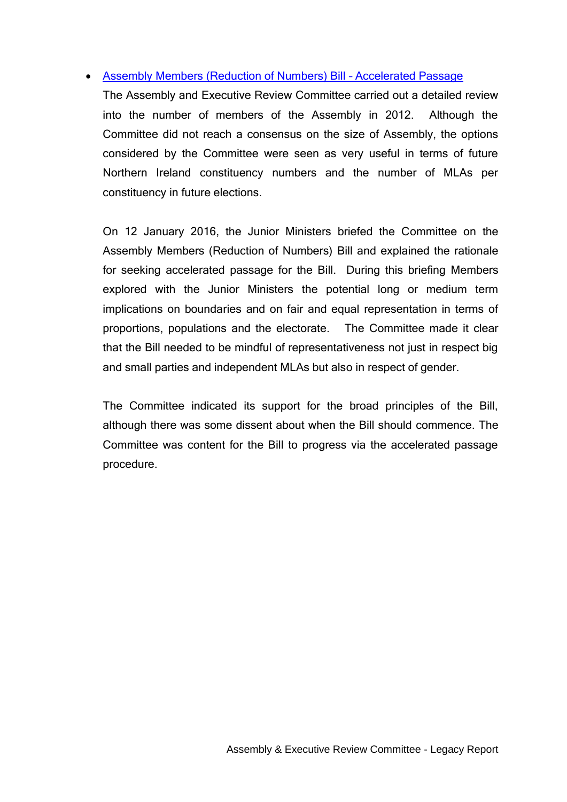#### [Assembly Members \(Reduction of Numbers\) Bill](http://www.niassembly.gov.uk/assembly-business/legislation/primary-legislation-current-bills/assembly-members-reduction-of-numbers-bill/assembly-members-reduction-of-numbers-bill/) – Accelerated Passage

The Assembly and Executive Review Committee carried out a detailed review into the number of members of the Assembly in 2012. Although the Committee did not reach a consensus on the size of Assembly, the options considered by the Committee were seen as very useful in terms of future Northern Ireland constituency numbers and the number of MLAs per constituency in future elections.

On 12 January 2016, the Junior Ministers briefed the Committee on the Assembly Members (Reduction of Numbers) Bill and explained the rationale for seeking accelerated passage for the Bill. During this briefing Members explored with the Junior Ministers the potential long or medium term implications on boundaries and on fair and equal representation in terms of proportions, populations and the electorate. The Committee made it clear that the Bill needed to be mindful of representativeness not just in respect big and small parties and independent MLAs but also in respect of gender.

The Committee indicated its support for the broad principles of the Bill, although there was some dissent about when the Bill should commence. The Committee was content for the Bill to progress via the accelerated passage procedure.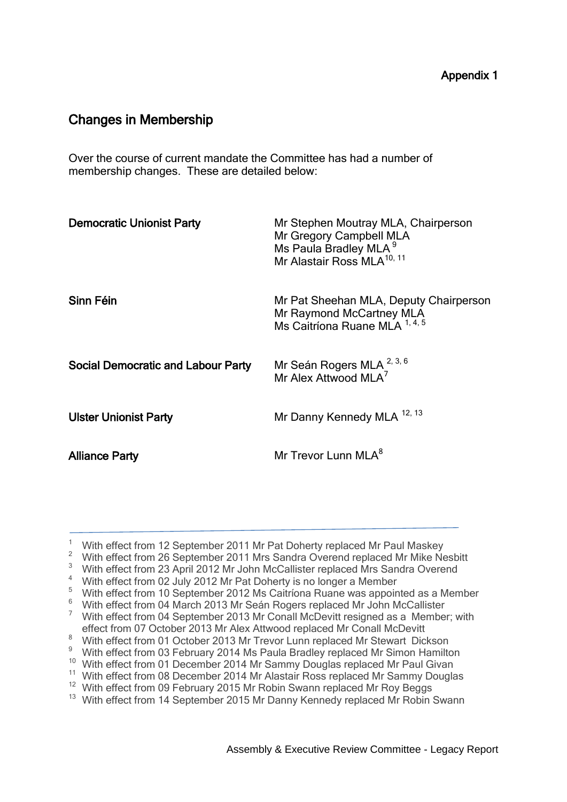## Changes in Membership

Over the course of current mandate the Committee has had a number of membership changes. These are detailed below:

| <b>Democratic Unionist Party</b>          | Mr Stephen Moutray MLA, Chairperson<br>Mr Gregory Campbell MLA<br>Ms Paula Bradley MLA <sup>9</sup><br>Mr Alastair Ross MLA <sup>10, 11</sup> |
|-------------------------------------------|-----------------------------------------------------------------------------------------------------------------------------------------------|
| Sinn Féin                                 | Mr Pat Sheehan MLA, Deputy Chairperson<br>Mr Raymond McCartney MLA<br>Ms Caitríona Ruane MLA 1, 4, 5                                          |
| <b>Social Democratic and Labour Party</b> | Mr Seán Rogers MLA <sup>2, 3, 6</sup><br>Mr Alex Attwood MLA <sup>7</sup>                                                                     |
| <b>Ulster Unionist Party</b>              | Mr Danny Kennedy MLA 12, 13                                                                                                                   |
| <b>Alliance Party</b>                     | Mr Trevor Lunn MLA <sup>8</sup>                                                                                                               |

<sup>&</sup>lt;sup>1</sup> With effect from 12 September 2011 Mr Pat Doherty replaced Mr Paul Maskey

<sup>&</sup>lt;sup>2</sup> With effect from 26 September 2011 Mrs Sandra Overend replaced Mr Mike Nesbitt

<sup>&</sup>lt;sup>3</sup> With effect from 23 April 2012 Mr John McCallister replaced Mrs Sandra Overend

<sup>4</sup> With effect from 02 July 2012 Mr Pat Doherty is no longer a Member

<sup>&</sup>lt;sup>5</sup> With effect from 10 September 2012 Ms Caitríona Ruane was appointed as a Member

<sup>&</sup>lt;sup>6</sup> With effect from 04 March 2013 Mr Seán Rogers replaced Mr John McCallister

<sup>&</sup>lt;sup>7</sup> With effect from 04 September 2013 Mr Conall McDevitt resigned as a Member; with effect from 07 October 2013 Mr Alex Attwood replaced Mr Conall McDevitt

<sup>&</sup>lt;sup>8</sup> With effect from 01 October 2013 Mr Trevor Lunn replaced Mr Stewart Dickson

<sup>&</sup>lt;sup>9</sup> With effect from 03 February 2014 Ms Paula Bradley replaced Mr Simon Hamilton

<sup>&</sup>lt;sup>10</sup> With effect from 01 December 2014 Mr Sammy Douglas replaced Mr Paul Givan

<sup>&</sup>lt;sup>11</sup> With effect from 08 December 2014 Mr Alastair Ross replaced Mr Sammy Douglas

<sup>&</sup>lt;sup>12</sup> With effect from 09 February 2015 Mr Robin Swann replaced Mr Roy Beggs

<sup>&</sup>lt;sup>13</sup> With effect from 14 September 2015 Mr Danny Kennedy replaced Mr Robin Swann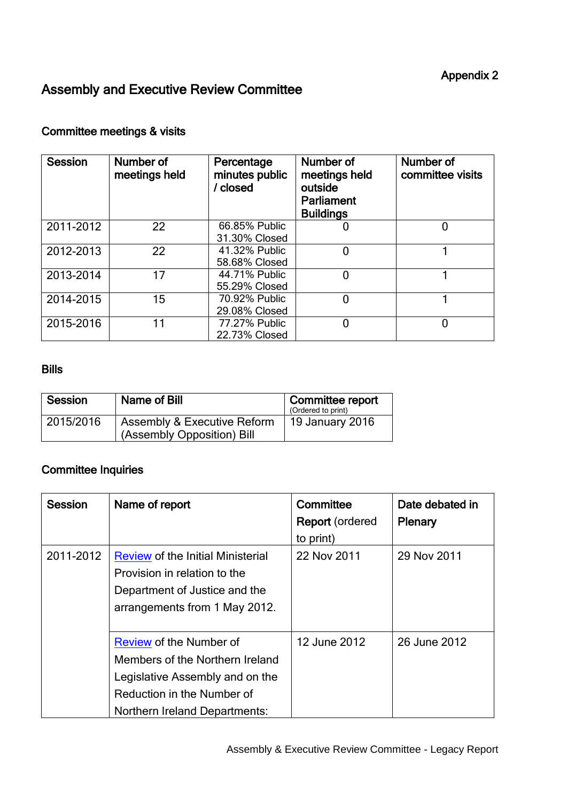# Assembly and Executive Review Committee

#### Committee meetings & visits

| <b>Session</b> | Number of<br>meetings held | Percentage<br>minutes public<br>/ closed | Number of<br>meetings held<br>outside<br><b>Parliament</b><br><b>Buildings</b> | Number of<br>committee visits |
|----------------|----------------------------|------------------------------------------|--------------------------------------------------------------------------------|-------------------------------|
| 2011-2012      | 22                         | 66.85% Public<br>31.30% Closed           | U                                                                              | 0                             |
| 2012-2013      | 22                         | 41.32% Public<br>58.68% Closed           | $\overline{0}$                                                                 |                               |
| 2013-2014      | 17                         | 44.71% Public<br>55.29% Closed           | $\overline{0}$                                                                 |                               |
| 2014-2015      | 15                         | 70.92% Public<br>29.08% Closed           | 0                                                                              |                               |
| 2015-2016      | 11                         | 77.27% Public<br>22.73% Closed           | 0                                                                              | 0                             |

#### Bills

| Session   | Name of Bill                                                         | Committee report<br>(Ordered to print) |
|-----------|----------------------------------------------------------------------|----------------------------------------|
| 2015/2016 | <b>Assembly &amp; Executive Reform</b><br>(Assembly Opposition) Bill | 19 January 2016                        |

## Committee Inquiries

| Session                                                                                                                                                 | Name of report                                                                                                                                                      | Committee<br><b>Report</b> (ordered<br>to print) | Date debated in<br><b>Plenary</b> |
|---------------------------------------------------------------------------------------------------------------------------------------------------------|---------------------------------------------------------------------------------------------------------------------------------------------------------------------|--------------------------------------------------|-----------------------------------|
| 2011-2012<br><b>Review of the Initial Ministerial</b><br>Provision in relation to the<br>Department of Justice and the<br>arrangements from 1 May 2012. | 22 Nov 2011                                                                                                                                                         | 29 Nov 2011                                      |                                   |
|                                                                                                                                                         | Review of the Number of<br>Members of the Northern Ireland<br>Legislative Assembly and on the<br>Reduction in the Number of<br><b>Northern Ireland Departments:</b> | 12 June 2012                                     | 26 June 2012                      |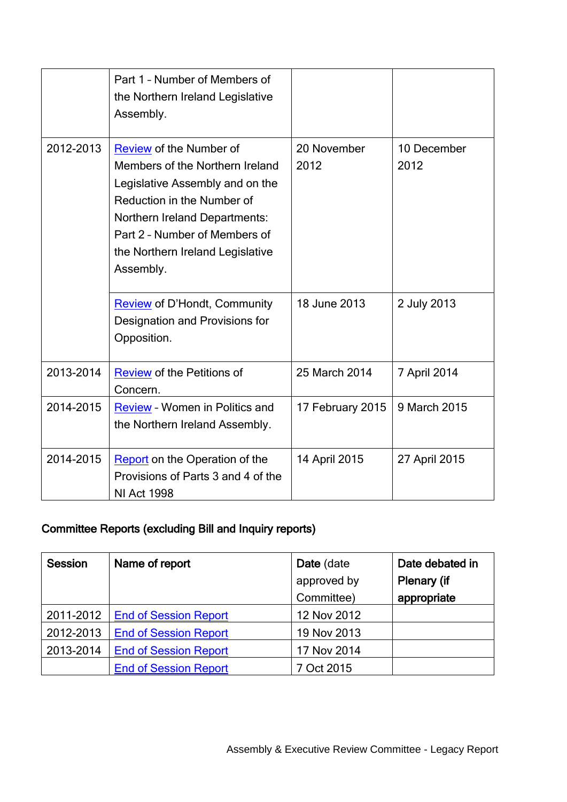|           | Part 1 - Number of Members of<br>the Northern Ireland Legislative<br>Assembly.                                                                                                                                                                                                        |                                     |                                    |
|-----------|---------------------------------------------------------------------------------------------------------------------------------------------------------------------------------------------------------------------------------------------------------------------------------------|-------------------------------------|------------------------------------|
| 2012-2013 | Review of the Number of<br>Members of the Northern Ireland<br>Legislative Assembly and on the<br>Reduction in the Number of<br>Northern Ireland Departments:<br>Part 2 - Number of Members of<br>the Northern Ireland Legislative<br>Assembly.<br><b>Review of D'Hondt, Community</b> | 20 November<br>2012<br>18 June 2013 | 10 December<br>2012<br>2 July 2013 |
|           | Designation and Provisions for<br>Opposition.                                                                                                                                                                                                                                         |                                     |                                    |
| 2013-2014 | <b>Review of the Petitions of</b><br>Concern.                                                                                                                                                                                                                                         | 25 March 2014                       | 7 April 2014                       |
| 2014-2015 | <b>Review - Women in Politics and</b><br>the Northern Ireland Assembly.                                                                                                                                                                                                               | 17 February 2015                    | 9 March 2015                       |
| 2014-2015 | <b>Report</b> on the Operation of the<br>Provisions of Parts 3 and 4 of the<br><b>NI Act 1998</b>                                                                                                                                                                                     | 14 April 2015                       | 27 April 2015                      |

# Committee Reports (excluding Bill and Inquiry reports)

| <b>Session</b> | Name of report               | Date (date  | Date debated in |
|----------------|------------------------------|-------------|-----------------|
|                |                              | approved by | Plenary (if     |
|                |                              | Committee)  | appropriate     |
| 2011-2012      | <b>End of Session Report</b> | 12 Nov 2012 |                 |
| 2012-2013      | <b>End of Session Report</b> | 19 Nov 2013 |                 |
| 2013-2014      | <b>End of Session Report</b> | 17 Nov 2014 |                 |
|                | <b>End of Session Report</b> | 7 Oct 2015  |                 |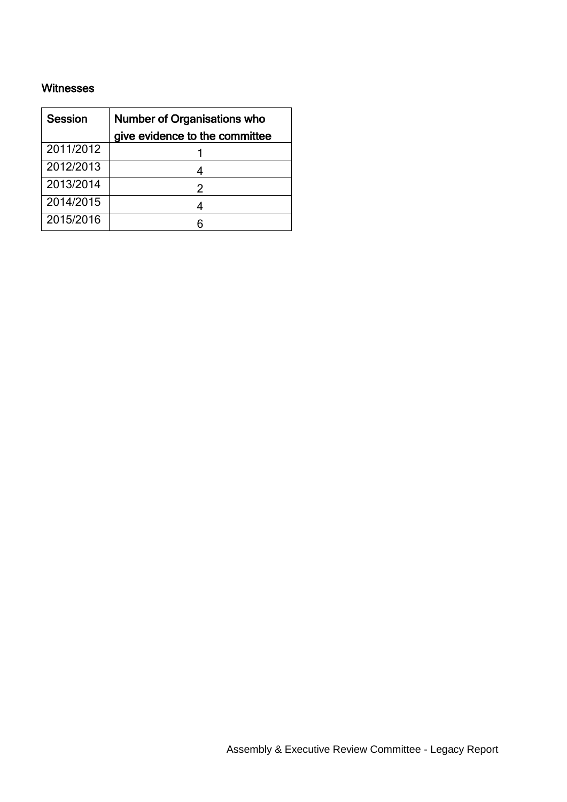#### Witnesses

| <b>Session</b> | <b>Number of Organisations who</b> |  |
|----------------|------------------------------------|--|
|                | give evidence to the committee     |  |
| 2011/2012      |                                    |  |
| 2012/2013      |                                    |  |
| 2013/2014      | 2                                  |  |
| 2014/2015      |                                    |  |
| 2015/2016      |                                    |  |